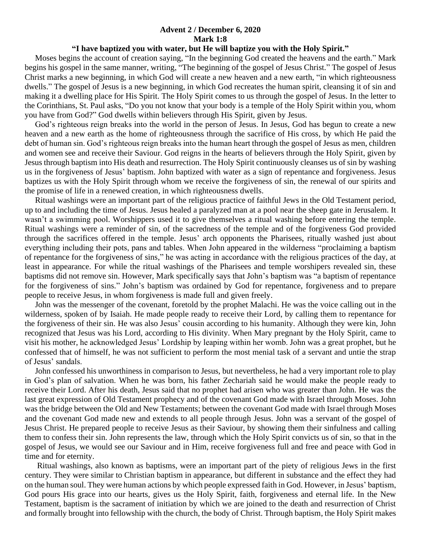## **Advent 2 / December 6, 2020 Mark 1:8**

## **"I have baptized you with water, but He will baptize you with the Holy Spirit."**

 Moses begins the account of creation saying, "In the beginning God created the heavens and the earth." Mark begins his gospel in the same manner, writing, "The beginning of the gospel of Jesus Christ." The gospel of Jesus Christ marks a new beginning, in which God will create a new heaven and a new earth, "in which righteousness dwells." The gospel of Jesus is a new beginning, in which God recreates the human spirit, cleansing it of sin and making it a dwelling place for His Spirit. The Holy Spirit comes to us through the gospel of Jesus. In the letter to the Corinthians, St. Paul asks, "Do you not know that your body is a temple of the Holy Spirit within you, whom you have from God?" God dwells within believers through His Spirit, given by Jesus.

 God's righteous reign breaks into the world in the person of Jesus. In Jesus, God has begun to create a new heaven and a new earth as the home of righteousness through the sacrifice of His cross, by which He paid the debt of human sin. God's righteous reign breaks into the human heart through the gospel of Jesus as men, children and women see and receive their Saviour. God reigns in the hearts of believers through the Holy Spirit, given by Jesus through baptism into His death and resurrection. The Holy Spirit continuously cleanses us of sin by washing us in the forgiveness of Jesus' baptism. John baptized with water as a sign of repentance and forgiveness. Jesus baptizes us with the Holy Spirit through whom we receive the forgiveness of sin, the renewal of our spirits and the promise of life in a renewed creation, in which righteousness dwells.

 Ritual washings were an important part of the religious practice of faithful Jews in the Old Testament period, up to and including the time of Jesus. Jesus healed a paralyzed man at a pool near the sheep gate in Jerusalem. It wasn't a swimming pool. Worshippers used it to give themselves a ritual washing before entering the temple. Ritual washings were a reminder of sin, of the sacredness of the temple and of the forgiveness God provided through the sacrifices offered in the temple. Jesus' arch opponents the Pharisees, ritually washed just about everything including their pots, pans and tables. When John appeared in the wilderness "proclaiming a baptism of repentance for the forgiveness of sins," he was acting in accordance with the religious practices of the day, at least in appearance. For while the ritual washings of the Pharisees and temple worshipers revealed sin, these baptisms did not remove sin. However, Mark specifically says that John's baptism was "a baptism of repentance for the forgiveness of sins." John's baptism was ordained by God for repentance, forgiveness and to prepare people to receive Jesus, in whom forgiveness is made full and given freely.

 John was the messenger of the covenant, foretold by the prophet Malachi. He was the voice calling out in the wilderness, spoken of by Isaiah. He made people ready to receive their Lord, by calling them to repentance for the forgiveness of their sin. He was also Jesus' cousin according to his humanity. Although they were kin, John recognized that Jesus was his Lord, according to His divinity. When Mary pregnant by the Holy Spirit, came to visit his mother, he acknowledged Jesus' Lordship by leaping within her womb. John was a great prophet, but he confessed that of himself, he was not sufficient to perform the most menial task of a servant and untie the strap of Jesus' sandals.

 John confessed his unworthiness in comparison to Jesus, but nevertheless, he had a very important role to play in God's plan of salvation. When he was born, his father Zechariah said he would make the people ready to receive their Lord. After his death, Jesus said that no prophet had arisen who was greater than John. He was the last great expression of Old Testament prophecy and of the covenant God made with Israel through Moses. John was the bridge between the Old and New Testaments; between the covenant God made with Israel through Moses and the covenant God made new and extends to all people through Jesus. John was a servant of the gospel of Jesus Christ. He prepared people to receive Jesus as their Saviour, by showing them their sinfulness and calling them to confess their sin. John represents the law, through which the Holy Spirit convicts us of sin, so that in the gospel of Jesus, we would see our Saviour and in Him, receive forgiveness full and free and peace with God in time and for eternity.

 Ritual washings, also known as baptisms, were an important part of the piety of religious Jews in the first century. They were similar to Christian baptism in appearance, but different in substance and the effect they had on the human soul. They were human actions by which people expressed faith in God. However, in Jesus' baptism, God pours His grace into our hearts, gives us the Holy Spirit, faith, forgiveness and eternal life. In the New Testament, baptism is the sacrament of initiation by which we are joined to the death and resurrection of Christ and formally brought into fellowship with the church, the body of Christ. Through baptism, the Holy Spirit makes